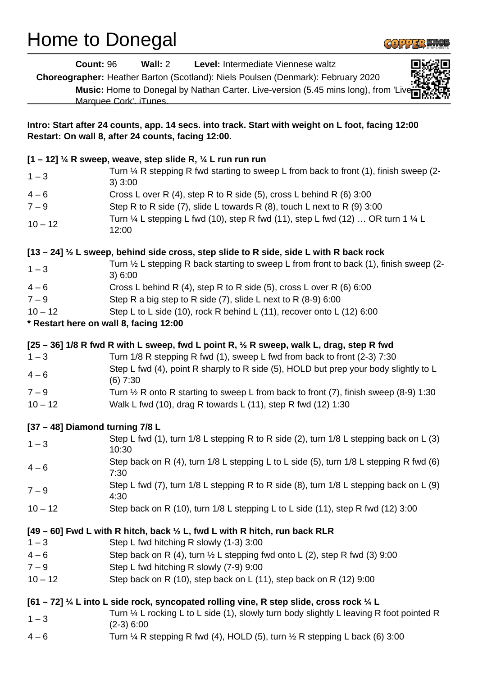## Home to Donegal